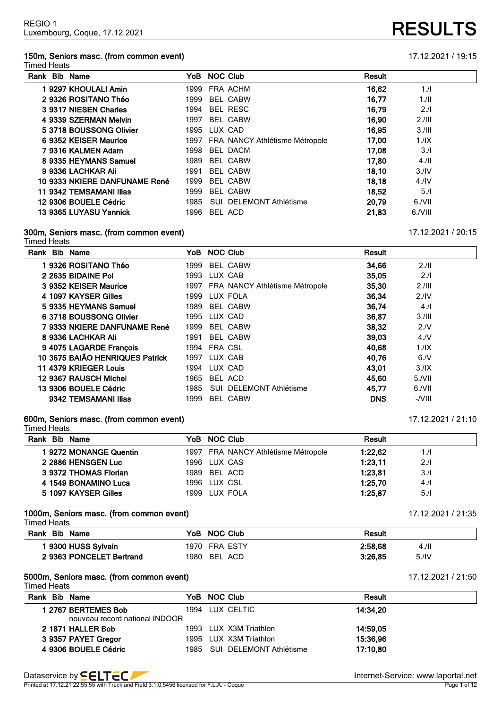### **150m, Seniors masc. (from common event)** 17.12.2021 / 19:15 Timed Heats

| Rank Bib Name                 | <b>NOC Club</b><br>YoB              | <b>Result</b>   |                  |
|-------------------------------|-------------------------------------|-----------------|------------------|
| 19297 KHOULALI Amin           | 1999 FRA ACHM                       | 16,62           | 1.1              |
| 2 9326 ROSITANO Théo          | 1999<br><b>BEL CABW</b>             | 16,77           | 1.11             |
| 3 9317 NIESEN Charles         | 1994<br><b>BEL RESC</b>             | 16,79           | 2.1              |
| 4 9339 SZERMAN Melvin         | 1997<br><b>BEL CABW</b>             | 16,90           | 2.111            |
| 5 3718 BOUSSONG Olivier       | 1995 LUX CAD                        | 16.95           | 3.111            |
| 6 9352 KEISER Maurice         | 1997 FRA NANCY Athlétisme Métropole | 17.00           | 1.1X             |
| 7 9316 KALMEN Adam            | 1998<br>BEL DACM                    | 17,08           | 3.1              |
| 8 9335 HEYMANS Samuel         | 1989<br><b>BEL CABW</b>             | 17.80           | 4.11             |
| 9 9336 LACHKAR Ali            | 1991<br><b>BEL CABW</b>             | 18,10           | 3.1V             |
| 10 9333 NKIERE DANFUNAME René | 1999<br><b>BEL CABW</b>             | 18.18           | 4.1 <sup>N</sup> |
| 11 9342 TEMSAMANI Ilias       | 1999<br><b>BEL CABW</b>             | 18,52           | 5.1              |
| 12 9306 BOUELE Cédric         | 1985<br>SUI DELEMONT Athlétisme     | 20.79<br>6./VII |                  |

**9365 LUYASU Yannick** 1996 BEL ACD **21,83** 6./VIII

### **300m, Seniors masc. (from common event)** 17.12.2021 / 20:15

Timed Heats

| Rank Bib Name                   |      | YoB NOC Club                        | <b>Result</b> |                  |
|---------------------------------|------|-------------------------------------|---------------|------------------|
| 1 9326 ROSITANO Théo            | 1999 | <b>BEL CABW</b>                     | 34,66         | 2.11             |
| 2 2635 BIDAINE Pol              | 1993 | LUX CAB                             | 35.05         | 2.1              |
| 3 9352 KEISER Maurice           |      | 1997 FRA NANCY Athlétisme Métropole | 35,30         | 2.111            |
| 4 1097 KAYSER Gilles            | 1999 | LUX FOLA                            | 36.34         | 2.1 <sup>N</sup> |
| 5 9335 HEYMANS Samuel           | 1989 | BEL CABW                            | 36,74         | 4.1              |
| 6 3718 BOUSSONG Olivier         |      | 1995 LUX CAD                        | 36.87         | 3.111            |
| 7 9333 NKIERE DANFUNAME René    | 1999 | <b>BEL CABW</b>                     | 38,32         | 2.N              |
| 8 9336 LACHKAR Ali              | 1991 | <b>BEL CABW</b>                     | 39.03         | 4. N             |
| 9 4075 LAGARDE François         |      | 1994 FRA CSL                        | 40.68         | 1.1X             |
| 10 3675 BAIÃO HENRIQUES Patrick | 1997 | LUX CAB                             | 40.76         | 6/N              |
| 11 4379 KRIEGER Louis           | 1994 | LUX CAD                             | 43.01         | 3.1X             |
| 12 9367 RAUSCH Michel           | 1965 | BEL ACD                             | 45.60         | 5/NII            |
| 13 9306 BOUELE Cédric           | 1985 | SUI DELEMONT Athlétisme             | 45.77         | 6./VII           |
| 9342 TEMSAMANI Ilias            | 1999 | <b>BEL CABW</b>                     | <b>DNS</b>    | $-VIII$          |

### **600m, Seniors masc. (from common event)** 17.12.2021 / 21:10 Timed Heats

| .                     |                                     |                |
|-----------------------|-------------------------------------|----------------|
| Rank Bib Name         | YoB NOC Club                        | <b>Result</b>  |
| 19272 MONANGE Quentin | 1997 FRA NANCY Athlétisme Métropole | 1:22.62<br>1.1 |
| 2 2886 HENSGEN Luc    | 1996 LUX CAS                        | 1:23.11<br>2.1 |
| 3 9372 THOMAS Florian | 1989 BEL ACD                        | 1:23.81<br>3/1 |
| 4 1549 BONAMINO Luca  | 1996 LUX CSL                        | 1:25.70<br>4.1 |
| 5 1097 KAYSER Gilles  | 1999 LUX FOLA                       | 1:25.87<br>5.1 |
|                       |                                     |                |

### **1000m, Seniors masc. (from common event)** 17.12.2021 / 21:35

Timed Heats

| Rank Bib Name            | YoB NOC Club  | Result          |
|--------------------------|---------------|-----------------|
| 9300 HUSS Sylvain        | 1970 FRA ESTY | 2:58.68<br>4.11 |
| 2 9363 PONCELET Bertrand | 1980 BEL ACD  | 5.1V<br>3:26.85 |

### **5000m, Seniors masc. (from common event)** 17.12.2021 / 21:50

Timed Heats

| Bib Name<br>Rank                                      | YoB NOC Club                 | <b>Result</b> |
|-------------------------------------------------------|------------------------------|---------------|
| l 2767 BERTEMES Bob<br>nouveau record national INDOOR | 1994 LUX CELTIC              | 14:34.20      |
| 2 1871 HALLER Bob                                     | 1993 LUX X3M Triathlon       | 14:59.05      |
| 3 9357 PAYET Gregor                                   | 1995 LUX X3M Triathlon       | 15:36.96      |
| 4 9306 BOUELE Cédric                                  | 1985 SUI DELEMONT Athlétisme | 17:10.80      |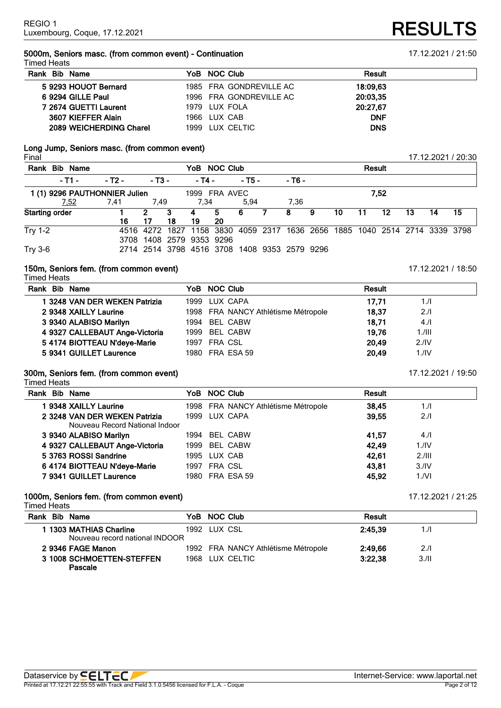### **5000m, Seniors masc. (from common event) - Continuation** 17.12.2021 / 21:50 Timed Heats

| .                       |                         |               |
|-------------------------|-------------------------|---------------|
| Rank Bib Name           | YoB NOC Club            | <b>Result</b> |
| 5 9293 HOUOT Bernard    | 1985 FRA GONDREVILLE AC | 18:09.63      |
| 6 9294 GILLE Paul       | 1996 FRA GONDREVILLE AC | 20:03.35      |
| 7 2674 GUETTI Laurent   | 1979 LUX FOLA           | 20:27,67      |
| 3607 KIEFFER Alain      | 1966 LUX CAB            | <b>DNF</b>    |
| 2089 WEICHERDING Charel | 1999 LUX CELTIC         | <b>DNS</b>    |
|                         |                         |               |

### **Long Jump, Seniors masc. (from common event)** Final 17.12.2021 / 20:30

| Rank Bib Name                                          |        |            |    | YoB NOC Club                                 |     |            |    |        |   |    | <b>Result</b> |    |     |                                                                            |    |
|--------------------------------------------------------|--------|------------|----|----------------------------------------------|-----|------------|----|--------|---|----|---------------|----|-----|----------------------------------------------------------------------------|----|
| $-11 -$                                                | - T2 - | $-$ T3 $-$ |    | - T4 -                                       |     | $-$ T5 $-$ |    | - T6 - |   |    |               |    |     |                                                                            |    |
| 1999 FRA AVEC<br>1 (1) 9296 PAUTHONNIER Julien<br>7,52 |        |            |    |                                              |     |            |    |        |   |    |               |    |     |                                                                            |    |
| 7,52                                                   | 7,41   | 7.49       |    | 7.34                                         |     | 5.94       |    | 7.36   |   |    |               |    |     |                                                                            |    |
| <b>Starting order</b>                                  |        | 2          | 3  | 4                                            | 5.  | -6         | 7. | 8      | 9 | 10 | 11            | 12 | -13 | 14                                                                         | 15 |
|                                                        | 16     | 17         | 18 | 19                                           | -20 |            |    |        |   |    |               |    |     |                                                                            |    |
| <b>Try 1-2</b>                                         |        |            |    |                                              |     |            |    |        |   |    |               |    |     | 4516 4272 1827 1158 3830 4059 2317 1636 2656 1885 1040 2514 2714 3339 3798 |    |
|                                                        |        |            |    | 3708 1408 2579 9353 9296                     |     |            |    |        |   |    |               |    |     |                                                                            |    |
| <b>Try 3-6</b>                                         |        |            |    | 2714 2514 3798 4516 3708 1408 9353 2579 9296 |     |            |    |        |   |    |               |    |     |                                                                            |    |

### **150m, Seniors fem. (from common event)** 17.12.2021 / 18:50 Timed Heats

|  | Rank Bib Name                  | YoB NOC Club                        | <b>Result</b> |                  |
|--|--------------------------------|-------------------------------------|---------------|------------------|
|  | 1 3248 VAN DER WEKEN Patrizia  | 1999 LUX CAPA                       | 17.71         | 1.1              |
|  | 2 9348 XAILLY Laurine          | 1998 FRA NANCY Athlétisme Métropole | 18,37         | 2.1              |
|  | 3 9340 ALABISO Marilyn         | 1994 BEL CABW                       | 18,71         | 4.1              |
|  | 4 9327 CALLEBAUT Ange-Victoria | 1999 BEL CABW                       | 19.76         | $1.1$ III        |
|  | 5 4174 BIOTTEAU N'deye-Marie   | 1997 FRA CSL                        | 20.49         | 2.1 <sup>N</sup> |
|  | 5 9341 GUILLET Laurence        | 1980 FRA ESA 59                     | 20,49         | $1.$ /IV         |
|  |                                |                                     |               |                  |

### **300m, Seniors fem. (from common event)** 17.12.2021 / 19:50

Timed Heats

| Rank Bib Name |                                | YoB NOC Club                        | <b>Result</b> |                  |
|---------------|--------------------------------|-------------------------------------|---------------|------------------|
|               | 1 9348 XAILLY Laurine          | 1998 FRA NANCY Athlétisme Métropole | 38,45         | 1.1              |
|               | 2 3248 VAN DER WEKEN Patrizia  | 1999 LUX CAPA                       | 39.55         | 2.1              |
|               | Nouveau Record National Indoor |                                     |               |                  |
|               | 3 9340 ALABISO Marilyn         | 1994 BEL CABW                       | 41,57         | 4.11             |
|               | 4 9327 CALLEBAUT Ange-Victoria | 1999 BEL CABW                       | 42.49         | 1.1 <sub>N</sub> |
|               | 5 3763 ROSSI Sandrine          | 1995 LUX CAB                        | 42.61         | 2.111            |
|               | 6 4174 BIOTTEAU N'deye-Marie   | 1997 FRA CSL                        | 43.81         | 3.1 <sup>N</sup> |
|               | 7 9341 GUILLET Laurence        | 1980 FRA ESA 59                     | 45.92         | 1/NI             |

### **1000m, Seniors fem. (from common event)** 17.12.2021 / 21:25

Timed Heats

| Rank Bib Name                                             | YoB NOC Club                        | Result  |      |
|-----------------------------------------------------------|-------------------------------------|---------|------|
| 1 1303 MATHIAS Charline<br>Nouveau record national INDOOR | 1992 LUX CSL                        | 2:45.39 | 1./I |
| 2 9346 FAGE Manon                                         | 1992 FRA NANCY Athlétisme Métropole | 2:49.66 | 2.1  |
| 3 1008 SCHMOETTEN-STEFFEN<br>Pascale                      | 1968 LUX CELTIC                     | 3:22.38 | 3/II |

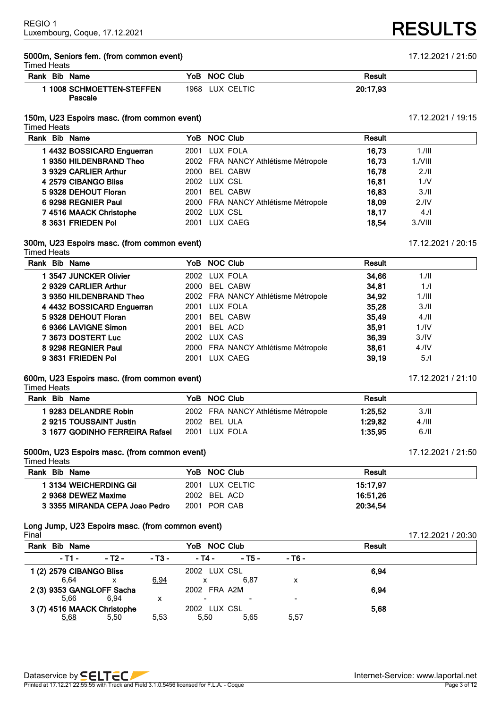### **5000m, Seniors fem. (from common event)** 17.12.2021 / 21:50 Timed Heats

| .                                         |                 |          |  |
|-------------------------------------------|-----------------|----------|--|
| Rank Bib Name                             | YoB NOC Club    | Result   |  |
| <b>1008 SCHMOETTEN-STEFFEN</b><br>Pascale | 1968 LUX CELTIC | 20:17.93 |  |

### **150m, U23 Espoirs masc. (from common event)** 17.12.2021 / 19:15

Timed Heats

| Rank Bib Name              | YoB NOC Club                        | <b>Result</b> |                  |  |
|----------------------------|-------------------------------------|---------------|------------------|--|
| 1 4432 BOSSICARD Enguerran | 2001 LUX FOLA                       | 16.73         | $1.1$ III        |  |
| 1 9350 HILDENBRAND Theo    | 2002 FRA NANCY Athlétisme Métropole | 16,73         | $1.7$ VIII       |  |
| 3 9329 CARLIER Arthur      | 2000 BEL CABW                       | 16.78         | 2.11             |  |
| 4 2579 CIBANGO Bliss       | 2002 LUX CSL                        | 16.81         | 1/N              |  |
| 5 9328 DEHOUT Floran       | BEL CABW<br>2001                    | 16.83         | 3.11             |  |
| 6 9298 REGNIER Paul        | 2000 FRA NANCY Athlétisme Métropole | 18.09         | 2.1 <sup>N</sup> |  |
| 7 4516 MAACK Christophe    | 2002 LUX CSL                        | 18.17         | 4.1              |  |
| 8 3631 FRIEDEN Pol         | LUX CAEG<br>2001                    | 18.54         | $3.7$ VIII       |  |
|                            |                                     |               |                  |  |

### **300m, U23 Espoirs masc. (from common event)** 17.12.2021 / 20:15 Timed Heats

| Rank Bib Name              | YoB NOC Club  |                                     | Result |                  |
|----------------------------|---------------|-------------------------------------|--------|------------------|
| 1 3547 JUNCKER Olivier     | 2002 LUX FOLA |                                     | 34.66  | 1.11             |
| 2 9329 CARLIER Arthur      | 2000          | <b>BEL CABW</b>                     | 34.81  | 1.1              |
| 3 9350 HILDENBRAND Theo    |               | 2002 FRA NANCY Athlétisme Métropole | 34,92  | $1.1$ III        |
| 4 4432 BOSSICARD Enguerran | 2001 LUX FOLA |                                     | 35,28  | 3.11             |
| 5 9328 DEHOUT Floran       | 2001          | <b>BEL CABW</b>                     | 35,49  | 4.11             |
| 6 9366 LAVIGNE Simon       | 2001          | BEL ACD                             | 35.91  | 1.1 <sub>N</sub> |
| 7 3673 DOSTERT Luc         | 2002 LUX CAS  |                                     | 36.39  | 3.1V             |
| 8 9298 REGNIER Paul        |               | 2000 FRA NANCY Athlétisme Métropole | 38,61  | 4.1 <sub>N</sub> |
| 9 3631 FRIEDEN Pol         | 2001          | LUX CAEG                            | 39.19  | 5.1              |

### **600m, U23 Espoirs masc. (from common event)** 17.12.2021 / 21:10

Timed Heats

| Rank Bib Name                  | YoB NOC Club                        | Result  |       |
|--------------------------------|-------------------------------------|---------|-------|
| I 9283 DELANDRE Robin          | 2002 FRA NANCY Athlétisme Métropole | 1:25.52 | 3.11  |
| 2 9215 TOUSSAINT Justin        | 2002 BEL ULA                        | 1:29.82 | 4.111 |
| 3 1677 GODINHO FERREIRA Rafael | 2001 LUX FOLA                       | 1:35.95 | 6.11  |

### **5000m, U23 Espoirs masc. (from common event)** 17.12.2021 / 21:50

Timed Heats

| Rank Bib Name                  | YoB NOC Club    | Result   |  |
|--------------------------------|-----------------|----------|--|
| 1 3134 WEICHERDING GIL         | 2001 LUX CELTIC | 15:17.97 |  |
| 2 9368 DEWEZ Maxime            | 2002 BEL ACD    | 16:51.26 |  |
| 3 3355 MIRANDA CEPA Joao Pedro | 2001 POR CAB    | 20:34.54 |  |

### **Long Jump, U23 Espoirs masc. (from common event)**

| Final                       |        |            |              |        |        |               | 17.12.2021 / 20:30 |
|-----------------------------|--------|------------|--------------|--------|--------|---------------|--------------------|
| Rank Bib Name               |        |            | YoB NOC Club |        |        | <b>Result</b> |                    |
| - T1 -                      | - T2 - | $-$ T3 $-$ | - T4 -       | - T5 - | - T6 - |               |                    |
| 1 (2) 2579 CIBANGO Bliss    |        |            | 2002 LUX CSL |        |        | 6.94          |                    |
| 6.64                        |        | 6,94       |              | 6.87   | х      |               |                    |
| 2 (3) 9353 GANGLOFF Sacha   |        |            | 2002 FRA A2M |        |        | 6.94          |                    |
| 5.66                        | 6,94   | х          |              |        |        |               |                    |
| 3 (7) 4516 MAACK Christophe |        |            | 2002 LUX CSL |        |        | 5.68          |                    |
| 5,68                        | 5.50   | 5.53       | 5.50         | 5.65   | 5,57   |               |                    |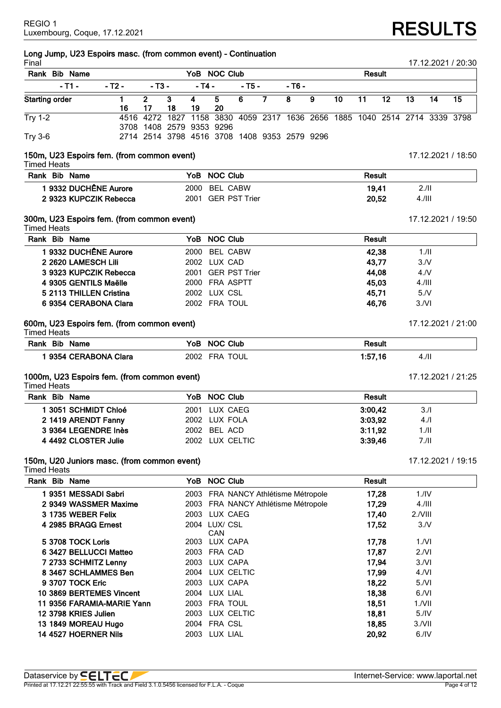# **RESULTS**

| Final                 |                         | Long Jump, U23 Espoirs masc. (from common event) - Continuation |                          |    |            |                 |                                                                  |                         |                |                 |                 |                 |                 |      | 17.12.2021 / 20:30 |
|-----------------------|-------------------------|-----------------------------------------------------------------|--------------------------|----|------------|-----------------|------------------------------------------------------------------|-------------------------|----------------|-----------------|-----------------|-----------------|-----------------|------|--------------------|
|                       | Rank Bib Name           |                                                                 |                          |    |            | YoB NOC Club    |                                                                  |                         |                |                 | <b>Result</b>   |                 |                 |      |                    |
|                       | $-T1 -$                 | - T2 -                                                          | $- T3 -$                 |    | $-$ T4 $-$ |                 | - T5 -                                                           | $-76-$                  |                |                 |                 |                 |                 |      |                    |
| <b>Starting order</b> |                         | 1                                                               | $\overline{2}$           | 3  | 4          | $\overline{5}$  | 6                                                                | $\overline{\mathbf{8}}$ | $\overline{9}$ | $\overline{10}$ | $\overline{11}$ | $\overline{12}$ | $\overline{13}$ | 14   | 15                 |
|                       |                         | 16                                                              | 17                       | 18 | 19         | 20              |                                                                  |                         |                |                 |                 |                 |                 |      |                    |
| <b>Try 1-2</b>        |                         |                                                                 | 4516 4272                |    |            |                 | 1827 1158 3830 4059 2317 1636 2656 1885 1040 2514 2714 3339 3798 |                         |                |                 |                 |                 |                 |      |                    |
|                       |                         |                                                                 | 3708 1408 2579 9353 9296 |    |            |                 | 2714 2514 3798 4516 3708 1408 9353 2579 9296                     |                         |                |                 |                 |                 |                 |      |                    |
| <b>Try 3-6</b>        |                         |                                                                 |                          |    |            |                 |                                                                  |                         |                |                 |                 |                 |                 |      |                    |
| <b>Timed Heats</b>    |                         | 150m, U23 Espoirs fem. (from common event)                      |                          |    |            |                 |                                                                  |                         |                |                 |                 |                 |                 |      | 17.12.2021 / 18:50 |
|                       | Rank Bib Name           |                                                                 |                          |    | YoB        | <b>NOC Club</b> |                                                                  |                         |                |                 | Result          |                 |                 |      |                    |
|                       |                         | 1 9332 DUCHÊNE Aurore                                           |                          |    | 2000       | <b>BEL CABW</b> |                                                                  |                         |                |                 | 19,41           |                 | 2.11            |      |                    |
|                       |                         | 2 9323 KUPCZIK Rebecca                                          |                          |    |            |                 | 2001 GER PST Trier                                               |                         |                |                 | 20,52           |                 | 4.111           |      |                    |
|                       |                         |                                                                 |                          |    |            |                 |                                                                  |                         |                |                 |                 |                 |                 |      |                    |
| <b>Timed Heats</b>    |                         | 300m, U23 Espoirs fem. (from common event)                      |                          |    |            |                 |                                                                  |                         |                |                 |                 |                 |                 |      | 17.12.2021 / 19:50 |
|                       | Rank Bib Name           |                                                                 |                          |    | YoB.       | <b>NOC Club</b> |                                                                  |                         |                |                 | <b>Result</b>   |                 |                 |      |                    |
|                       |                         | 1 9332 DUCHÊNE Aurore                                           |                          |    | 2000       | <b>BEL CABW</b> |                                                                  |                         |                |                 | 42,38           |                 |                 | 1.1  |                    |
|                       | 2 2620 LAMESCH Lili     |                                                                 |                          |    |            | 2002 LUX CAD    |                                                                  |                         |                |                 | 43,77           |                 | 3/N             |      |                    |
|                       |                         | 3 9323 KUPCZIK Rebecca                                          |                          |    |            |                 | 2001 GER PST Trier                                               |                         |                |                 | 44,08           |                 | 4.N             |      |                    |
|                       | 4 9305 GENTILS Maëlle   |                                                                 |                          |    |            | 2000 FRA ASPTT  |                                                                  |                         |                |                 | 45,03           |                 | 4.111           |      |                    |
|                       | 5 2113 THILLEN Cristina |                                                                 |                          |    |            | 2002 LUX CSL    |                                                                  |                         |                |                 | 45,71           |                 | 5/N             |      |                    |
|                       |                         | 6 9354 CERABONA Clara                                           |                          |    |            | 2002 FRA TOUL   |                                                                  |                         |                |                 | 46,76           |                 | 3/Nl            |      |                    |
|                       |                         | 600m, U23 Espoirs fem. (from common event)                      |                          |    |            |                 |                                                                  |                         |                |                 |                 |                 |                 |      | 17.12.2021 / 21:00 |
| <b>Timed Heats</b>    | Rank Bib Name           |                                                                 |                          |    |            | YoB NOC Club    |                                                                  |                         |                |                 | <b>Result</b>   |                 |                 |      |                    |
|                       |                         |                                                                 |                          |    |            |                 |                                                                  |                         |                |                 |                 |                 |                 |      |                    |
|                       |                         | 19354 CERABONA Clara                                            |                          |    |            | 2002 FRA TOUL   |                                                                  |                         |                |                 | 1:57,16         |                 | 4.11            |      |                    |
| Timed Heats           |                         | 1000m, U23 Espoirs fem. (from common event)                     |                          |    |            |                 |                                                                  |                         |                |                 |                 |                 |                 |      | 17.12.2021 / 21:25 |
|                       | Rank Bib Name           |                                                                 |                          |    | YoB .      | <b>NOC Club</b> |                                                                  |                         |                |                 | <b>Result</b>   |                 |                 |      |                    |
|                       | 1 3051 SCHMIDT Chloé    |                                                                 |                          |    | 2001       | LUX CAEG        |                                                                  |                         |                |                 | 3:00,42         |                 |                 | 3.1  |                    |
|                       | 2 1419 ARENDT Fanny     |                                                                 |                          |    |            | 2002 LUX FOLA   |                                                                  |                         |                |                 | 3:03,92         |                 |                 | 4.1  |                    |
|                       | 3 9364 LEGENDRE Inès    |                                                                 |                          |    |            | 2002 BEL ACD    |                                                                  |                         |                |                 | 3:11,92         |                 |                 | 1/II |                    |
|                       | 4 4492 CLOSTER Julie    |                                                                 |                          |    |            | 2002 LUX CELTIC |                                                                  |                         |                |                 | 3:39,46         |                 | 7.11            |      |                    |
| <b>Timed Heats</b>    |                         | 150m, U20 Juniors masc. (from common event)                     |                          |    |            |                 |                                                                  |                         |                |                 |                 |                 |                 |      | 17.12.2021 / 19:15 |
|                       | Rank Bib Name           |                                                                 |                          |    |            | YoB NOC Club    |                                                                  |                         |                |                 | Result          |                 |                 |      |                    |
|                       | 1 9351 MESSADI Sabri    |                                                                 |                          |    |            |                 | 2003 FRA NANCY Athlétisme Métropole                              |                         |                |                 | 17,28           |                 | 1.1V            |      |                    |
|                       |                         | 2 9349 WASSMER Maxime                                           |                          |    |            |                 | 2003 FRA NANCY Athlétisme Métropole                              |                         |                |                 | 17,29           |                 | 4.111           |      |                    |
|                       | 3 1735 WEBER Felix      |                                                                 |                          |    |            | 2003 LUX CAEG   |                                                                  |                         |                |                 | 17,40           |                 | 2./VIII         |      |                    |
|                       | 4 2985 BRAGG Ernest     |                                                                 |                          |    |            | 2004 LUX/ CSL   |                                                                  |                         |                |                 | 17,52           |                 | 3/N             |      |                    |
|                       |                         |                                                                 |                          |    |            | CAN             |                                                                  |                         |                |                 |                 |                 |                 |      |                    |
|                       | 5 3708 TOCK Loris       |                                                                 |                          |    |            | 2003 LUX CAPA   |                                                                  |                         |                |                 | 17,78           |                 | 1/NI            |      |                    |
|                       |                         | 6 3427 BELLUCCI Matteo                                          |                          |    |            | 2003 FRA CAD    |                                                                  |                         |                |                 | 17,87           |                 | 2.NI            |      |                    |
|                       | 7 2733 SCHMITZ Lenny    |                                                                 |                          |    |            | 2003 LUX CAPA   |                                                                  |                         |                |                 | 17,94           |                 | 3/Nl            |      |                    |
|                       |                         | 8 3467 SCHLAMMES Ben                                            |                          |    |            | 2004 LUX CELTIC |                                                                  |                         |                |                 | 17,99           |                 | 4/Nl            |      |                    |
|                       | 9 3707 TOCK Eric        |                                                                 |                          |    |            | 2003 LUX CAPA   |                                                                  |                         |                |                 | 18,22           |                 | 5/Nl            |      |                    |
|                       |                         | 10 3869 BERTEMES Vincent                                        |                          |    |            | 2004 LUX LIAL   |                                                                  |                         |                |                 | 18,38           |                 | 6/Nl            |      |                    |
|                       |                         | 11 9356 FARAMIA-MARIE Yann                                      |                          |    |            | 2003 FRA TOUL   |                                                                  |                         |                |                 | 18,51           |                 | $1.7$ VII       |      |                    |
|                       | 12 3798 KRIES Julien    |                                                                 |                          |    |            | 2003 LUX CELTIC |                                                                  |                         |                |                 | 18,81           |                 | 5.1V            |      |                    |
|                       | 13 1849 MOREAU Hugo     |                                                                 |                          |    |            | 2004 FRA CSL    |                                                                  |                         |                |                 | 18,85           |                 | $3.1$ VII       |      |                    |
|                       | 14 4527 HOERNER Nils    |                                                                 |                          |    |            | 2003 LUX LIAL   |                                                                  |                         |                |                 | 20,92           |                 | $6.$ /IV        |      |                    |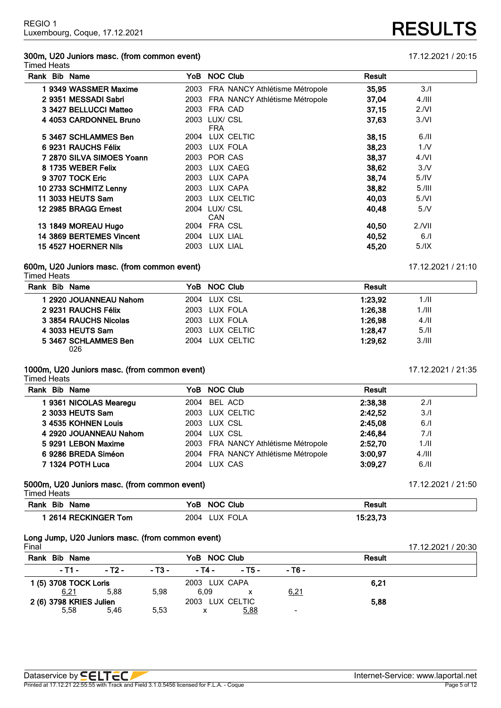## **300m, U20 Juniors masc. (from common event)** 17.12.2021 / 20:15

### Timed Heats

| Rank Bib Name             | YoB NOC Club                |                                | Result |           |
|---------------------------|-----------------------------|--------------------------------|--------|-----------|
| 1 9349 WASSMER Maxime     | 2003                        | FRA NANCY Athlétisme Métropole | 35,95  | 3.1       |
| 2 9351 MESSADI Sabri      | 2003                        | FRA NANCY Athlétisme Métropole | 37,04  | $4.1$ III |
| 3 3427 BELLUCCI Matteo    | 2003                        | FRA CAD                        | 37,15  | 2/NI      |
| 4 4053 CARDONNEL Bruno    | 2003<br><b>FRA</b>          | LUX/ CSL                       | 37,63  | 3/Nl      |
| 5 3467 SCHLAMMES Ben      | 2004                        | LUX CELTIC                     | 38.15  | $6.$ /II  |
| 6 9231 RAUCHS Félix       | 2003                        | LUX FOLA                       | 38,23  | 1. N      |
| 7 2870 SILVA SIMOES Yoann | 2003                        | POR CAS                        | 38,37  | 4/NI      |
| 8 1735 WEBER Felix        | 2003                        | LUX CAEG                       | 38,62  | 3/N       |
| 9 3707 TOCK Eric          | 2003                        | LUX CAPA                       | 38.74  | 5.1V      |
| 10 2733 SCHMITZ Lenny     | 2003                        | LUX CAPA                       | 38,82  | 5.111     |
| 11 3033 HEUTS Sam         | 2003                        | LUX CELTIC                     | 40,03  | 5/Nl      |
| 12 2985 BRAGG Ernest      | 2004 LUX/ CSL<br><b>CAN</b> |                                | 40,48  | 5/N       |
| 13 1849 MOREAU Hugo       | 2004                        | FRA CSL                        | 40.50  | $2.1$ VII |
| 14 3869 BERTEMES Vincent  | 2004                        | LUX LIAL                       | 40.52  | 6.1       |
| 15 4527 HOERNER Nils      | 2003                        | LUX LIAL                       | 45,20  | 5.1X      |

### **600m, U20 Juniors masc. (from common event)** 17.12.2021 / 21:10

### Timed Heats

| Rank Bib Name               | YoB NOC Club    | <b>Result</b>        |  |
|-----------------------------|-----------------|----------------------|--|
| 1 2920 JOUANNEAU Nahom      | 2004 LUX CSL    | 1:23.92<br>1.11      |  |
| 2 9231 RAUCHS Félix         | 2003 LUX FOLA   | 1:26,38<br>$1.1$ III |  |
| 3 3854 RAUCHS Nicolas       | 2003 LUX FOLA   | 1:26.98<br>4.11      |  |
| 4 3033 HEUTS Sam            | 2003 LUX CELTIC | 1:28.47<br>5.11      |  |
| 5 3467 SCHLAMMES Ben<br>026 | 2004 LUX CELTIC | 1:29.62<br>3.111     |  |

### **1000m, U20 Juniors masc. (from common event)** 17.12.2021 / 21:35

Timed Heats

| Rank Bib Name          | YoB NOC Club                        | <b>Result</b>        |  |
|------------------------|-------------------------------------|----------------------|--|
| 19361 NICOLAS Mearegu  | 2004 BEL ACD                        | 2:38.38<br>2.11      |  |
| 2 3033 HEUTS Sam       | 2003 LUX CELTIC                     | 2:42.52<br>3.1       |  |
| 3 4535 KOHNEN Louis    | 2003 LUX CSL                        | 2:45,08<br>6.1       |  |
| 4 2920 JOUANNEAU Nahom | 2004 LUX CSL                        | 2:46.84<br>7.1       |  |
| 5 9291 LEBON Maxime    | 2003 FRA NANCY Athlétisme Métropole | 2:52.70<br>1./II     |  |
| 6 9286 BREDA Siméon    | 2004 FRA NANCY Athlétisme Métropole | 3:00.97<br>$4.1$ III |  |
| 7 1324 POTH Luca       | 2004 LUX CAS                        | 3:09.27<br>6.11      |  |

### **5000m, U20 Juniors masc. (from common event)** 17.12.2021 / 21:50

Timed Heats

| Rank Bib Name      | YoB NOC Club     | Result   |
|--------------------|------------------|----------|
| 2614 RECKINGER Tom | 2004<br>LUX FOLA | 15:23.73 |

## **Long Jump, U20 Juniors masc. (from common event)**

| Final                   |        |        |                 |        |                          |               | 17.12.2021 / 20:30 |
|-------------------------|--------|--------|-----------------|--------|--------------------------|---------------|--------------------|
| Rank<br><b>Bib Name</b> |        |        | YoB NOC Club    |        |                          | <b>Result</b> |                    |
| $-11 -$                 | - T2 - | - T3 - | - T4 -          | - T5 - | - T6 -                   |               |                    |
| 1 (5) 3708 TOCK Loris   |        |        | 2003 LUX CAPA   |        |                          | 6.21          |                    |
| 6,21                    | 5.88   | 5.98   | 6.09            |        | 6,21                     |               |                    |
| 2 (6) 3798 KRIES Julien |        |        | 2003 LUX CELTIC |        |                          | 5,88          |                    |
| 5.58                    | 5.46   | 5.53   |                 | 5,88   | $\overline{\phantom{0}}$ |               |                    |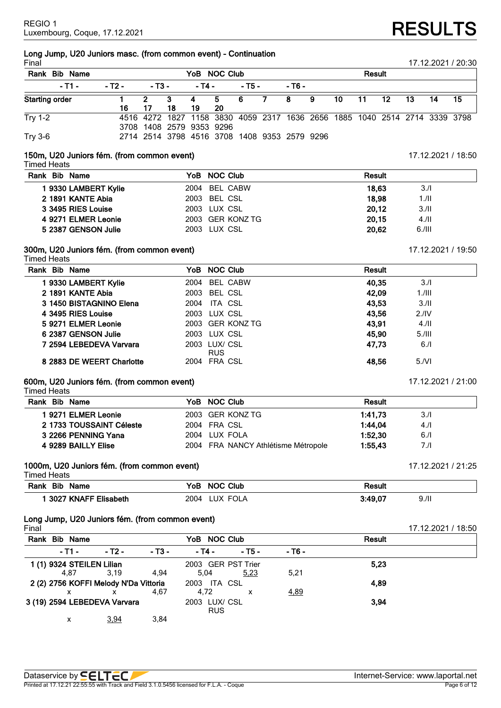# **Long Jump, U20 Juniors masc. (from common event) - Continuation**

| Final                 |        |                          |         |          |           |        |                |                                                                            |    |    |     |        |     |    | 17.12.2021 / 20:30 |  |
|-----------------------|--------|--------------------------|---------|----------|-----------|--------|----------------|----------------------------------------------------------------------------|----|----|-----|--------|-----|----|--------------------|--|
| Rank<br>Bib Name      |        | YoB NOC Club             |         |          |           |        |                |                                                                            |    |    |     | Result |     |    |                    |  |
| - T1 -                | - T2 - | - T3 -                   |         | - T4 -   |           | - T5 - |                | - T6 -                                                                     |    |    |     |        |     |    |                    |  |
| <b>Starting order</b> | 16     | 17                       | 3<br>18 | -4<br>19 | 5 6<br>20 |        | $\overline{7}$ | 8                                                                          | -9 | 10 | -11 | 12     | -13 | 14 | 15                 |  |
| <b>Try 1-2</b>        |        | 3708 1408 2579 9353 9296 |         |          |           |        |                | 4516 4272 1827 1158 3830 4059 2317 1636 2656 1885 1040 2514 2714 3339 3798 |    |    |     |        |     |    |                    |  |
| <b>Try 3-6</b>        |        |                          |         |          |           |        |                | 2714 2514 3798 4516 3708 1408 9353 2579 9296                               |    |    |     |        |     |    |                    |  |

## **150m, U20 Juniors fém. (from common event)** 17.12.2021 / 18:50

Timed Heats

| Rank Bib Name       | YoB NOC Club     | <b>Result</b> |       |
|---------------------|------------------|---------------|-------|
| 9330 LAMBERT Kylie  | 2004 BEL CABW    | 18.63         | 3.1   |
| 2 1891 KANTE Abia   | 2003 BEL CSL     | 18.98         | 1./II |
| 3 3495 RIES Louise  | 2003 LUX CSL     | 20.12         | 3.11  |
| 4 9271 ELMER Leonie | 2003 GER KONZ TG | 20.15         | 4.11  |
| 5 2387 GENSON Julie | 2003 LUX CSL     | 20.62         | 6.111 |

### **300m, U20 Juniors fém. (from common event)** 17.12.2021 / 19:50

Timed Heats

| Rank Bib Name             | YoB NOC Club                | <b>Result</b>             |
|---------------------------|-----------------------------|---------------------------|
| 1 9330 LAMBERT Kylie      | BEL CABW<br>2004            | 40,35<br>3/1              |
| 2 1891 KANTE Abia         | 2003 BEL CSL                | 42,09<br>1.711            |
| 3 1450 BISTAGNINO Elena   | ITA CSL<br>2004             | 43,53<br>3/II             |
| 4 3495 RIES Louise        | 2003 LUX CSL                | 43.56<br>2.1 <sup>N</sup> |
| 5 9271 ELMER Leonie       | 2003 GER KONZ TG            | 43.91<br>4.11             |
| 6 2387 GENSON Julie       | 2003 LUX CSL                | 45.90<br>5.111            |
| 7 2594 LEBEDEVA Varvara   | 2003 LUX/ CSL<br><b>RUS</b> | 47.73<br>6.1              |
| 8 2883 DE WEERT Charlotte | 2004 FRA CSL                | 48.56<br>5/Nl             |

## **600m, U20 Juniors fém. (from common event)** 17.12.2021 / 21:00

Timed Heats

| Rank Bib Name            | YoB NOC Club                        | Result          |
|--------------------------|-------------------------------------|-----------------|
| 9271 ELMER Leonie        | 2003 GER KONZ TG                    | 1:41.73<br>3.1  |
| 2 1733 TOUSSAINT Céleste | 2004 FRA CSL                        | 1:44.04<br>4.1  |
| 3 2266 PENNING Yana      | 2004 LUX FOLA                       | 1:52.30<br>6.1  |
| 4 9289 BAILLY Elise      | 2004 FRA NANCY Athlétisme Métropole | 1:55.43<br>7./I |

## **1000m, U20 Juniors fém. (from common event)** 17.12.2021 / 21:25

| <b>Timed Heats</b>   |                  |                 |  |
|----------------------|------------------|-----------------|--|
| Rank Bib Name        | YoB NOC Club     | Result          |  |
| 3027 KNAFF Elisabeth | 2004<br>LUX FOLA | 3:49,07<br>9.11 |  |

## **Long Jump, U20 Juniors fém. (from common event)**

| Final |                                       |        |            |                             |        |        |        | 17.12.2021 / 18:50 |
|-------|---------------------------------------|--------|------------|-----------------------------|--------|--------|--------|--------------------|
| Rank  | <b>Bib Name</b>                       |        |            | YoB NOC Club                |        |        | Result |                    |
|       | $-11 -$                               | - T2 - | $-$ T3 $-$ | - T4 -                      | $-75-$ | - T6 - |        |                    |
|       | 1 (1) 9324 STEILEN Lilian             |        |            | 2003 GER PST Trier          |        |        | 5,23   |                    |
|       | 4.87                                  | 3.19   | 4.94       | 5.04                        | 5,23   | 5,21   |        |                    |
|       | 2 (2) 2756 KOFFI Melody N'Da Vittoria |        |            | 2003 ITA CSL                |        |        | 4,89   |                    |
|       | x                                     | x      | 4.67       | 4.72                        | x      | 4,89   |        |                    |
|       | 3 (19) 2594 LEBEDEVA Varvara          |        |            | 2003 LUX/ CSL<br><b>RUS</b> |        |        | 3,94   |                    |
|       | x                                     | 3,94   | 3,84       |                             |        |        |        |                    |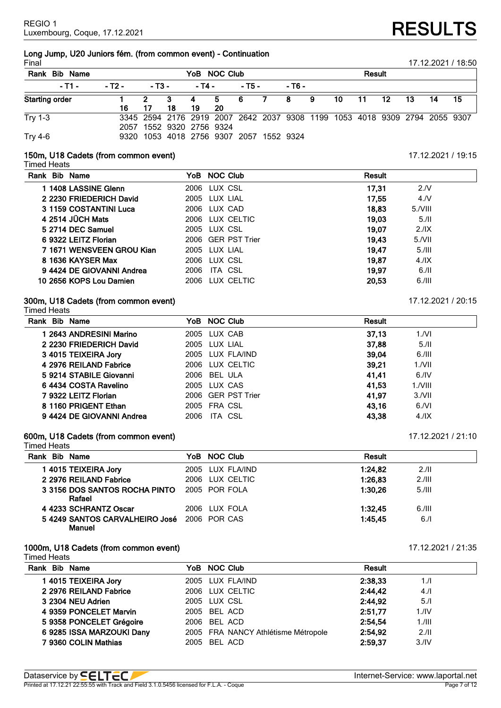# **Long Jump, U20 Juniors fém. (from common event) - Continuation**

| Final<br>17.12.2021 / 18:50 |        |              |                                         |          |           |        |  |        |                                                                            |               |       |       |      |                 |     |
|-----------------------------|--------|--------------|-----------------------------------------|----------|-----------|--------|--|--------|----------------------------------------------------------------------------|---------------|-------|-------|------|-----------------|-----|
| Rank Bib Name               |        | YoB NOC Club |                                         |          |           |        |  |        |                                                                            | <b>Result</b> |       |       |      |                 |     |
| $-11 -$                     | - T2 - | - T3 -       |                                         | - T4 -   |           | - T5 - |  | - T6 - |                                                                            |               |       |       |      |                 |     |
| <b>Starting order</b>       | 16     | 17           | 3<br>18                                 | -4<br>19 | 5.<br>-20 | 6 7 8  |  |        | 9                                                                          | 10            | $-11$ | $-12$ | - 13 | $\overline{14}$ | 15. |
| <b>Try 1-3</b>              |        |              | 2057 1552 9320 2756 9324                |          |           |        |  |        | 3345 2594 2176 2919 2007 2642 2037 9308 1199 1053 4018 9309 2794 2055 9307 |               |       |       |      |                 |     |
| <b>Try 4-6</b>              |        |              | 9320 1053 4018 2756 9307 2057 1552 9324 |          |           |        |  |        |                                                                            |               |       |       |      |                 |     |

## **150m, U18 Cadets (from common event)** 17.12.2021 / 19:15

Timed Heats

| Rank Bib Name             | YoB NOC Club       | Result                    |
|---------------------------|--------------------|---------------------------|
| 1 1408 LASSINE Glenn      | LUX CSL<br>2006    | 17,31<br>2.N              |
| 2 2230 FRIEDERICH David   | 2005 LUX LIAL      | 17.55<br>4/N              |
| 3 1159 COSTANTINI Luca    | 2006 LUX CAD       | 18.83<br>$5.$ <i>NIII</i> |
| 4 2514 JÜCH Mats          | 2006 LUX CELTIC    | 19.03<br>5.11             |
| 5 2714 DEC Samuel         | 2005 LUX CSL       | 19,07<br>2.1X             |
| 6 9322 LEITZ Florian      | 2006 GER PST Trier | 19.43<br>$5.1$ VII        |
| 7 1671 WENSVEEN GROU Kian | 2005 LUX LIAL      | 19.47<br>5.111            |
| 8 1636 KAYSER Max         | 2006 LUX CSL       | 19.87<br>4.1X             |
| 94424 DE GIOVANNI Andrea  | 2006<br>ITA CSL    | 19.97<br>6.11             |
| 10 2656 KOPS Lou Damien   | 2006 LUX CELTIC    | 20,53<br>6.111            |

### **300m, U18 Cadets (from common event)** 17.12.2021 / 20:15 Timed Heats

| Rank Bib Name            | YoB NOC Club       | Result              |
|--------------------------|--------------------|---------------------|
| 1 2643 ANDRESINI Marino  | 2005 LUX CAB       | 37.13<br>1/Nl       |
| 2 2230 FRIEDERICH David  | 2005 LUX LIAL      | 37,88<br>5.11       |
| 3 4015 TEIXEIRA Jory     | 2005 LUX FLA/IND   | 39.04<br>6.111      |
| 4 2976 REILAND Fabrice   | 2006 LUX CELTIC    | 39.21<br>$1.7$ VII  |
| 5 9214 STABILE Giovanni  | BEL ULA<br>2006    | 41,41<br>6.1V       |
| 6 4434 COSTA Ravelino    | 2005 LUX CAS       | 41,53<br>$1.7$ VIII |
| 7 9322 LEITZ Florian     | 2006 GER PST Trier | 41.97<br>$3.1$ VII  |
| 8 1160 PRIGENT Ethan     | 2005 FRA CSL       | 43.16<br>6/Nl       |
| 94424 DE GIOVANNI Andrea | ITA CSL<br>2006    | 43.38<br>4.1X       |

### **600m, U18 Cadets (from common event)** 17.12.2021 / 21:10

Timed Heats **Rank Bib Name YoB NOC Club Result 1 4015 TEIXEIRA Jory** 2005 LUX FLA/IND **1:24,82** 2./II **2 2976 REILAND Fabrice** 2006 LUX CELTIC **1:26,83** 2./III **3 3156 DOS SANTOS ROCHA PINTO Rafael** 2005 POR FOLA **1:30,26** 5./III **4 4233 SCHRANTZ Oscar** 2006 LUX FOLA **1:32,45** 6./III **5 4249 SANTOS CARVALHEIRO José** 2006 POR CAS **1:45,45** 6./I **Manuel**

### **1000m, U18 Cadets (from common event)** 17.12.2021 / 21:35 Timed Heats

| Rank Bib Name             | YoB NOC Club                        | Result                      |     |
|---------------------------|-------------------------------------|-----------------------------|-----|
| 14015 TEIXEIRA Jory       | 2005 LUX FLA/IND                    | 2:38.33                     | 1.1 |
| 2 2976 REILAND Fabrice    | 2006 LUX CELTIC                     | 2:44,42                     | 4.1 |
| 3 2304 NEU Adrien         | 2005 LUX CSL                        | 2:44,92                     | 5.1 |
| 4 9359 PONCELET Marvin    | 2005 BEL ACD                        | 2:51,77<br>1.1 <sub>N</sub> |     |
| 5 9358 PONCELET Grégoire  | 2006 BEL ACD                        | 2:54,54<br>$1.1$ III        |     |
| 6 9285 ISSA MARZOUKI Dany | 2005 FRA NANCY Athlétisme Métropole | 2:54,92<br>2.11             |     |
| 7 9360 COLIN Mathias      | 2005 BEL ACD                        | 2:59.37<br>3.1 <sup>N</sup> |     |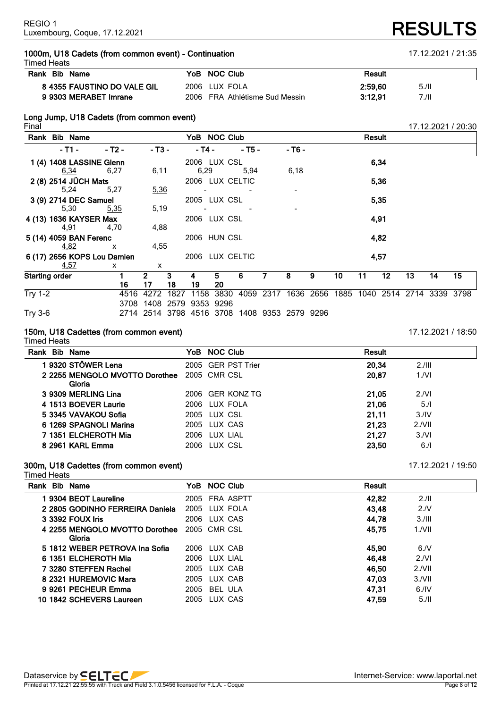### **1000m, U18 Cadets (from common event) - Continuation** 17.12.2021 / 21:35 Timed Heats

| Rank Bib Name               | YoB NOC Club                   | Result  |       |
|-----------------------------|--------------------------------|---------|-------|
| 8 4355 FAUSTINO DO VALE GIL | 2006 LUX FOLA                  | 2:59,60 | 5./II |
| 9 9303 MERABET Imrane       | 2006 FRA Athlétisme Sud Messin | 3:12.91 | 7./II |

# **Long Jump, U18 Cadets (from common event)**

|                | Rank Bib Name               |              |              |      | YoB NOC Club        |           |                                              |   |        |                                                   |    | Result |      |    |    |    |
|----------------|-----------------------------|--------------|--------------|------|---------------------|-----------|----------------------------------------------|---|--------|---------------------------------------------------|----|--------|------|----|----|----|
|                | - T1 -                      | - T2 -       | - T3 -       |      | - T4 -              |           | - T5 -                                       |   | - Т6 - |                                                   |    |        |      |    |    |    |
|                | 1 (4) 1408 LASSINE Glenn    |              |              |      | 2006 LUX CSL        |           |                                              |   |        |                                                   |    |        | 6,34 |    |    |    |
|                | 6,34 and 6,34               | 6,27         | 6,11         |      | 6,29                |           | 5,94                                         |   | 6,18   |                                                   |    |        |      |    |    |    |
|                | 2 (8) 2514 JÜCH Mats        |              |              |      | 2006 LUX CELTIC     |           |                                              |   |        |                                                   |    |        | 5,36 |    |    |    |
|                | 5,24                        | 5,27         | 5,36         |      |                     |           |                                              |   |        |                                                   |    |        |      |    |    |    |
|                | 3 (9) 2714 DEC Samuel       |              |              |      | 2005 LUX CSL        |           |                                              |   |        |                                                   |    |        | 5,35 |    |    |    |
|                | 5,30                        | 5,35         | 5,19         |      |                     |           |                                              |   |        |                                                   |    |        |      |    |    |    |
|                | 4 (13) 1636 KAYSER Max      |              |              |      | 2006 LUX CSL        |           |                                              |   |        |                                                   |    |        | 4,91 |    |    |    |
|                | 4,91                        | 4,70         | 4,88         |      |                     |           |                                              |   |        |                                                   |    |        |      |    |    |    |
|                | 5 (14) 4059 BAN Ferenc      |              |              |      | 2006 HUN CSL        |           |                                              |   |        |                                                   |    |        | 4,82 |    |    |    |
|                | <u>4,82</u>                 | $\mathsf{X}$ | 4,55         |      |                     |           |                                              |   |        |                                                   |    |        |      |    |    |    |
|                | 6 (17) 2656 KOPS Lou Damien |              |              |      | 2006 LUX CELTIC     |           |                                              |   |        |                                                   |    |        | 4,57 |    |    |    |
|                | <u>4,57</u>                 | x            | x            |      |                     |           |                                              |   |        |                                                   |    |        |      |    |    |    |
|                | <b>Starting order</b>       |              | $\mathbf{2}$ | 3    | 4                   | 5.        | 6                                            | 7 | 8      | 9                                                 | 10 | 11     | 12   | 13 | 14 | 15 |
|                |                             | 16           | 17           | 18   | 19                  | 20        |                                              |   |        |                                                   |    |        |      |    |    |    |
| <b>Try 1-2</b> |                             | 4516         | 4272         | 1827 |                     | 1158 3830 |                                              |   |        | 4059 2317 1636 2656 1885 1040 2514 2714 3339 3798 |    |        |      |    |    |    |
|                |                             | 3708         |              |      | 1408 2579 9353 9296 |           |                                              |   |        |                                                   |    |        |      |    |    |    |
| Try 3-6        |                             |              |              |      |                     |           | 2714 2514 3798 4516 3708 1408 9353 2579 9296 |   |        |                                                   |    |        |      |    |    |    |

### **150m, U18 Cadettes (from common event)** 17.12.2021 / 18:50

Timed Heats **Rank Bib Name YoB NOC Club Result 9320 STÖWER Lena** 2005 GER PST Trier **20,34** 2./III **2255 MENGOLO MVOTTO Dorothee Gloria** CMR CSL **20,87** 1./VI **9309 MERLING Lina** 2006 GER KONZ TG **21,05** 2./VI **1513 BOEVER Laurie** 2006 LUX FOLA **21,06** 5./I **3345 VAVAKOU Sofia** 2005 LUX CSL **21,11** 3./IV **1269 SPAGNOLI Marina** 2005 LUX CAS **21,23** 2./VII **1351 ELCHEROTH Mia** 2006 LUX LIAL **21,27** 3./VI **2961 KARL Emma** 2006 LUX CSL **23,50** 6./I

## **300m, U18 Cadettes (from common event)** 17.12.2021 / 19:50

Timed Heats

| Rank Bib Name                   |      | YoB NOC Club   | <b>Result</b> |           |
|---------------------------------|------|----------------|---------------|-----------|
| 9304 BEOT Laureline             |      | 2005 FRA ASPTT | 42,82         | 2.11      |
| 2 2805 GODINHO FERREIRA Daniela |      | 2005 LUX FOLA  | 43,48         | 2.N       |
| 3 3392 FOUX Iris                |      | 2006 LUX CAS   | 44.78         | 3.111     |
| 4 2255 MENGOLO MVOTTO Dorothee  |      | 2005 CMR CSL   | 45,75         | 1/NII     |
| Gloria                          |      |                |               |           |
| 5 1812 WEBER PETROVA Ina Sofia  |      | 2006 LUX CAB   | 45,90         | 6/N       |
| 6 1351 ELCHEROTH Mia            |      | 2006 LUX LIAL  | 46.48         | 2/NI      |
| 7 3280 STEFFEN Rachel           |      | 2005 LUX CAB   | 46,50         | $2.1$ VII |
| 8 2321 HUREMOVIC Mara           |      | 2005 LUX CAB   | 47,03         | 3/NII     |
| 9 9261 PECHEUR Emma             | 2005 | BEL ULA        | 47.31         | 6.1V      |
| 10 1842 SCHEVERS Laureen        |      | 2005 LUX CAS   | 47,59         | 5.11      |

Final 17.12.2021 / 20:30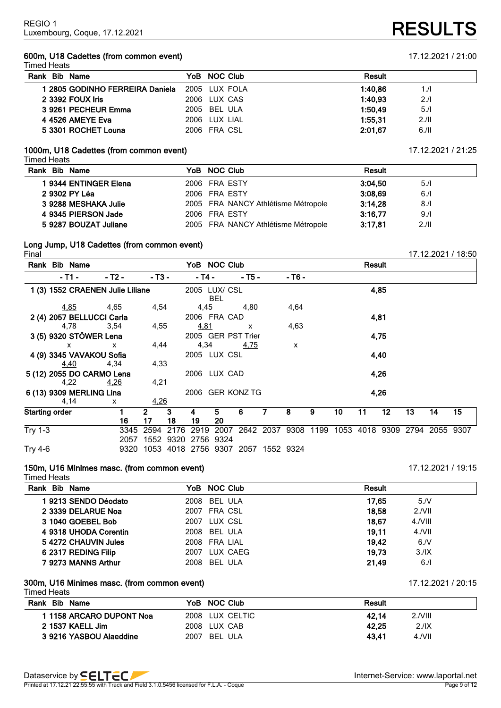### **600m, U18 Cadettes (from common event)** 17.12.2021 / 21:00 Timed Heats

| .                               |               |                 |
|---------------------------------|---------------|-----------------|
| Rank Bib Name                   | YoB NOC Club  | Result          |
| l 2805 GODINHO FERREIRA Daniela | 2005 LUX FOLA | 1:40.86<br>1./I |
| 2 3392 FOUX Iris                | 2006 LUX CAS  | 1:40.93<br>2.1  |
| 3 9261 PECHEUR Emma             | 2005 BEL ULA  | 1:50.49<br>5.1  |
| 4 4526 AMEYE Eva                | 2006 LUX LIAL | 1:55.31<br>2.11 |
| 5 3301 ROCHET Louna             | 2006 FRA CSL  | 6.11<br>2:01.67 |
|                                 |               |                 |

### **1000m, U18 Cadettes (from common event)** 17.12.2021 / 21:25

| <b>Timed Heats</b> |  |
|--------------------|--|

| Rank Bib Name         | YoB NOC Club                        | <b>Result</b> |      |
|-----------------------|-------------------------------------|---------------|------|
| 1 9344 ENTINGER Elena | 2006 FRA ESTY                       | 3:04.50       | 5.1  |
| 2 9302 PY Léa         | 2006 FRA ESTY                       | 3:08,69       | 6.1  |
| 3 9288 MESHAKA Julie  | 2005 FRA NANCY Athlétisme Métropole | 3:14,28       | 8.1  |
| 4 9345 PIERSON Jade   | 2006 FRA ESTY                       | 3:16.77       | 9.1  |
| 5 9287 BOUZAT Juliane | 2005 FRA NANCY Athlétisme Métropole | 3:17.81       | 2.11 |
|                       |                                     |               |      |

# **Long Jump, U18 Cadettes (from common event)**

|                | Rank Bib Name                    |              |              |      |                     | YoB NOC Club                       |             |   |                                    |   |    | Result |    |    |                |    |
|----------------|----------------------------------|--------------|--------------|------|---------------------|------------------------------------|-------------|---|------------------------------------|---|----|--------|----|----|----------------|----|
|                | - T1 -                           | $-$ T2 $-$   | $-$ T3 $-$   |      | - T4 -              |                                    | $-75-$      |   | - T6 -                             |   |    |        |    |    |                |    |
|                | 1 (3) 1552 CRAENEN Julie Liliane |              |              |      |                     | 2005 LUX/ CSL<br><b>BEL</b>        |             |   |                                    |   |    | 4,85   |    |    |                |    |
|                | <u>4,85</u>                      | 4,65         | 4,54         |      | 4,45                |                                    | 4,80        |   | 4,64                               |   |    |        |    |    |                |    |
|                | 2 (4) 2057 BELLUCCI Carla        |              |              |      |                     | 2006 FRA CAD                       |             |   |                                    |   |    | 4,81   |    |    |                |    |
|                | 4,78                             | 3,54         | 4,55         |      | 4,81                |                                    | X           |   | 4,63                               |   |    |        |    |    |                |    |
|                | 3 (5) 9320 STÖWER Lena           |              |              |      |                     | 2005 GER PST Trier                 |             |   |                                    |   |    | 4,75   |    |    |                |    |
|                | X                                | $\mathsf{x}$ | 4,44         |      | 4,34                |                                    | <u>4,75</u> |   | $\mathsf{x}$                       |   |    |        |    |    |                |    |
|                | 4 (9) 3345 VAVAKOU Sofia         |              |              |      |                     | 2005 LUX CSL                       |             |   |                                    |   |    | 4,40   |    |    |                |    |
|                | 4,40                             | 4,34         | 4,33         |      |                     |                                    |             |   |                                    |   |    |        |    |    |                |    |
|                | 5 (12) 2055 DO CARMO Lena        |              |              |      |                     | 2006 LUX CAD                       |             |   |                                    |   |    | 4,26   |    |    |                |    |
|                | 4,22                             | <u>4,26</u>  | 4,21         |      |                     |                                    |             |   |                                    |   |    |        |    |    |                |    |
|                | 6 (13) 9309 MERLING Lina         |              |              |      |                     | 2006 GER KONZ TG                   |             |   |                                    |   |    | 4,26   |    |    |                |    |
|                | 4,14                             | $\mathsf{x}$ | 4,26         |      |                     |                                    |             |   |                                    |   |    |        |    |    |                |    |
|                | <b>Starting order</b>            |              | $\mathbf{2}$ | 3    | 4                   | 5.                                 | 6           | 7 | 8                                  | 9 | 10 | 11     | 12 | 13 | 14             | 15 |
|                |                                  | 16           | 17           | 18   | 19                  | 20                                 |             |   |                                    |   |    |        |    |    |                |    |
| <b>Try 1-3</b> |                                  | 3345         | 2594         | 2176 | 2919                | 2007                               |             |   | 2642 2037 9308 1199 1053 4018 9309 |   |    |        |    |    | 2794 2055 9307 |    |
|                |                                  | 2057         |              |      | 1552 9320 2756 9324 |                                    |             |   |                                    |   |    |        |    |    |                |    |
| <b>Try 4-6</b> |                                  | 9320         |              |      |                     | 1053 4018 2756 9307 2057 1552 9324 |             |   |                                    |   |    |        |    |    |                |    |

## **150m, U16 Minimes masc. (from common event)** 17.12.2021 / 19:15

Timed Heats

| Rank Bib Name         | YoB NOC Club     | <b>Result</b>       |
|-----------------------|------------------|---------------------|
| 19213 SENDO Déodato   | 2008 BEL ULA     | 17.65<br>5/N        |
| 2 3339 DELARUE Noa    | 2007 FRA CSL     | $2.1$ VII<br>18.58  |
| 3 1040 GOEBEL Bob     | 2007 LUX CSL     | 18.67<br>4./VIII    |
| 4 9318 UHODA Corentin | 2008 BEL ULA     | 19.11<br>$4.$ $NII$ |
| 54272 CHAUVIN Jules   | 2008 FRA LIAL    | 19.42<br>6/N        |
| 6 2317 REDING Filip   | LUX CAEG<br>2007 | 19.73<br>3.1X       |
| 7 9273 MANNS Arthur   | 2008 BEL ULA     | 21.49<br>6.1        |

### **300m, U16 Minimes masc. (from common event)** 17.12.2021 / 20:15 Timed Heats

| Rank Bib Name           | YoB NOC Club    | Result                    |
|-------------------------|-----------------|---------------------------|
| 1158 ARCARO DUPONT Noa  | 2008 LUX CELTIC | $2.$ <i>NIII</i><br>42.14 |
| 2 1537 KAELL Jim        | 2008 LUX CAB    | 42.25<br>2.11X            |
| 3 9216 YASBOU Alaeddine | 2007 BEL ULA    | 43.41<br>4.NII            |

Final 17.12.2021 / 18:50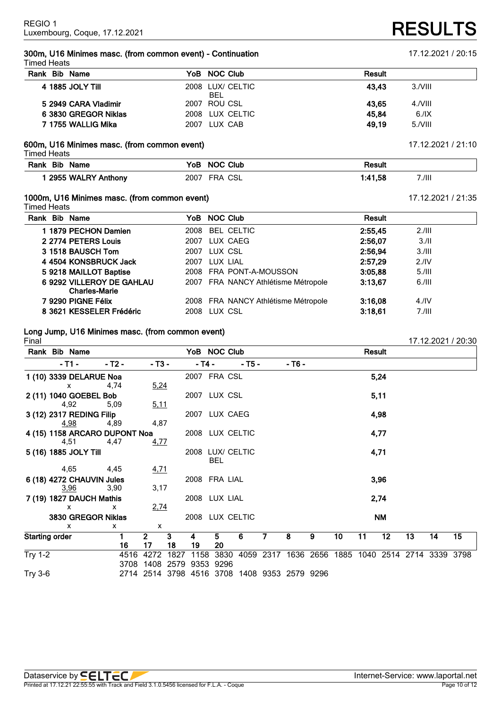**300m, U16 Minimes masc. (from common event) - Continuation** 17.12.2021 / 20:15 Timed Heats

### **600m, U16 Minimes masc. (from common event)** 17.12.2021 / 21:10

Timed Heats

| Rank<br>Bib<br><b>Name</b> | Club<br>YoB<br>N   | Result         |
|----------------------------|--------------------|----------------|
| 2955 WALRY<br>Anthony      | CSL<br>2007<br>FRA | 7./III<br>1.58 |

### **1000m, U16 Minimes masc. (from common event)** 17.12.2021 / 21:35

Timed Heats

| Rank Bib Name                                     | YoB NOC Club                        | <b>Result</b> |                  |
|---------------------------------------------------|-------------------------------------|---------------|------------------|
| 1 1879 PECHON Damien                              | <b>BEL CELTIC</b><br>2008           | 2:55.45       | 2.111            |
| 2 2774 PETERS Louis                               | LUX CAEG<br>2007                    | 2:56,07       | 3.11             |
| 3 1518 BAUSCH Tom                                 | LUX CSL<br>2007                     | 2:56,94       | 3.111            |
| 4 4504 KONSBRUCK Jack                             | LUX LIAL<br>2007                    | 2:57.29       | 2.1 <sup>N</sup> |
| 5 9218 MAILLOT Baptise                            | 2008 FRA PONT-A-MOUSSON             | 3:05.88       | 5.111            |
| 6 9292 VILLEROY DE GAHLAU<br><b>Charles-Marie</b> | 2007 FRA NANCY Athlétisme Métropole | 3:13.67       | 6.111            |
| 7 9290 PIGNE Félix                                | 2008 FRA NANCY Athlétisme Métropole | 3:16,08       | 4.1 <sup>N</sup> |
| 8 3621 KESSELER Frédéric                          | LUX CSL<br>2008                     | 3:18.61       | 7.111            |
|                                                   |                                     |               |                  |

### **Long Jump, U16 Minimes masc. (from common event)**

| Final                 |                           |                               |                                              |      |        |                  |        |   |        |   |                 |        |                 |                                                   |    | 17.12.2021 / 20:30 |
|-----------------------|---------------------------|-------------------------------|----------------------------------------------|------|--------|------------------|--------|---|--------|---|-----------------|--------|-----------------|---------------------------------------------------|----|--------------------|
|                       | Rank Bib Name             |                               |                                              |      |        | YoB NOC Club     |        |   |        |   |                 | Result |                 |                                                   |    |                    |
|                       | - T1 -                    | - T2 -                        | - T3 -                                       |      | - T4 - |                  | $-75-$ |   | - Т6 - |   |                 |        |                 |                                                   |    |                    |
|                       | 1 (10) 3339 DELARUE Noa   |                               |                                              |      |        | 2007 FRA CSL     |        |   |        |   |                 |        | 5,24            |                                                   |    |                    |
|                       | x                         | 4,74                          | 5,24                                         |      |        |                  |        |   |        |   |                 |        |                 |                                                   |    |                    |
|                       | 2 (11) 1040 GOEBEL Bob    |                               |                                              |      |        | 2007 LUX CSL     |        |   |        |   |                 |        | 5,11            |                                                   |    |                    |
|                       | 4,92                      | 5,09                          | 5.11                                         |      |        |                  |        |   |        |   |                 |        |                 |                                                   |    |                    |
|                       | 3 (12) 2317 REDING Filip  |                               |                                              |      |        | 2007 LUX CAEG    |        |   |        |   |                 |        | 4,98            |                                                   |    |                    |
|                       | 4,98                      | 4,89                          | 4,87                                         |      |        |                  |        |   |        |   |                 |        |                 |                                                   |    |                    |
|                       |                           | 4 (15) 1158 ARCARO DUPONT Noa |                                              |      |        | 2008 LUX CELTIC  |        |   |        |   |                 |        | 4,77            |                                                   |    |                    |
|                       | 4,51                      | 4,47                          | <u>4,77</u>                                  |      |        |                  |        |   |        |   |                 |        |                 |                                                   |    |                    |
|                       | 5 (16) 1885 JOLY Till     |                               |                                              |      |        | 2008 LUX/ CELTIC |        |   |        |   |                 |        | 4,71            |                                                   |    |                    |
|                       |                           |                               |                                              |      |        | <b>BEL</b>       |        |   |        |   |                 |        |                 |                                                   |    |                    |
|                       | 4,65                      | 4,45                          | <u>4,71</u>                                  |      |        |                  |        |   |        |   |                 |        |                 |                                                   |    |                    |
|                       | 6 (18) 4272 CHAUVIN Jules |                               |                                              |      |        | 2008 FRA LIAL    |        |   |        |   |                 |        | 3,96            |                                                   |    |                    |
|                       | <u>3,96</u>               | 3,90                          | 3,17                                         |      |        |                  |        |   |        |   |                 |        |                 |                                                   |    |                    |
|                       | 7 (19) 1827 DAUCH Mathis  |                               |                                              |      |        | 2008 LUX LIAL    |        |   |        |   |                 |        | 2,74            |                                                   |    |                    |
|                       | $\mathsf{x}$              | $\mathsf{x}$                  | 2,74                                         |      |        |                  |        |   |        |   |                 |        |                 |                                                   |    |                    |
|                       | 3830 GREGOR Niklas        |                               |                                              |      |        | 2008 LUX CELTIC  |        |   |        |   |                 |        | ΝM              |                                                   |    |                    |
|                       | $\mathsf{x}$              | X                             | x                                            |      |        |                  |        |   |        |   |                 |        |                 |                                                   |    |                    |
| <b>Starting order</b> |                           |                               | $\overline{2}$                               | 3    | 4      | 5                | 6      | 7 | 8      | 9 | 10 <sub>1</sub> | 11     | $\overline{12}$ | $\overline{13}$                                   | 14 | $\overline{15}$    |
|                       |                           | 16                            | 17                                           | 18   | 19     | 20               |        |   |        |   |                 |        |                 |                                                   |    |                    |
| Try 1-2               |                           | 4516                          | 4272                                         | 1827 | 1158   | 3830             |        |   |        |   |                 |        |                 | 4059 2317 1636 2656 1885 1040 2514 2714 3339 3798 |    |                    |
|                       |                           | 3708                          | 1408                                         |      |        | 2579 9353 9296   |        |   |        |   |                 |        |                 |                                                   |    |                    |
| <b>Try 3-6</b>        |                           |                               | 2714 2514 3798 4516 3708 1408 9353 2579 9296 |      |        |                  |        |   |        |   |                 |        |                 |                                                   |    |                    |

# **RESULTS**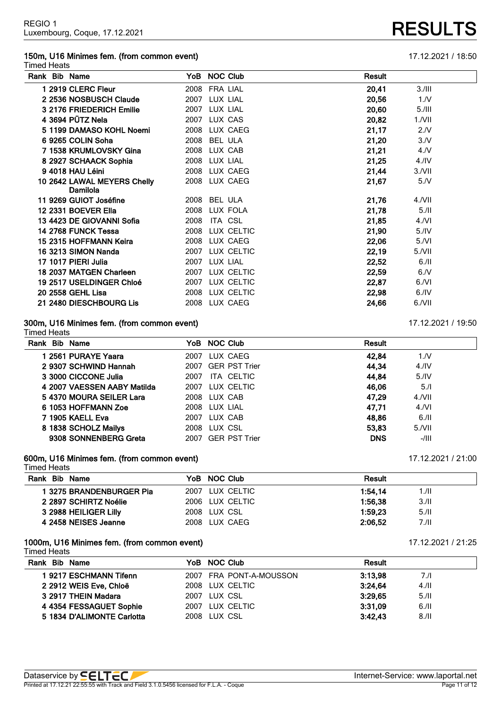### **150m, U16 Minimes fem. (from common event)** 17.12.2021 / 18:50 Timed Heats

| Rank Bib Name                           |      | YoB NOC Club    | Result |                  |
|-----------------------------------------|------|-----------------|--------|------------------|
| 1 2919 CLERC Fleur                      |      | 2008 FRA LIAL   | 20,41  | 3.111            |
| 2 2536 NOSBUSCH Claude                  |      | 2007 LUX LIAL   | 20,56  | 1/N              |
| 3 2176 FRIEDERICH Emilie                |      | 2007 LUX LIAL   | 20,60  | 5.111            |
| 4 3694 PÜTZ Nela                        |      | 2007 LUX CAS    | 20,82  | $1.7$ VII        |
| 5 1199 DAMASO KOHL Noemi                |      | 2008 LUX CAEG   | 21,17  | 2.N              |
| 6 9265 COLIN Soha                       | 2008 | <b>BEL ULA</b>  | 21,20  | 3/N              |
| 7 1538 KRUMLOVSKY Gina                  |      | 2008 LUX CAB    | 21,21  | 4. N             |
| 8 2927 SCHAACK Sophia                   |      | 2008 LUX LIAL   | 21,25  | 4.1 <sup>N</sup> |
| 9 4018 HAU Léini                        |      | 2008 LUX CAEG   | 21,44  | $3.1$ VII        |
| 10 2642 LAWAL MEYERS Chelly<br>Damilola |      | 2008 LUX CAEG   | 21,67  | 5/N              |
| 11 9269 GUIOT Joséfine                  |      | 2008 BEL ULA    | 21,76  | $4.$ $NII$       |
| 12 2331 BOEVER Ella                     | 2008 | LUX FOLA        | 21,78  | 5.11             |
| 13 4423 DE GIOVANNI Sofia               | 2008 | ITA CSL         | 21,85  | 4/Nl             |
| 14 2768 FUNCK Tessa                     | 2008 | LUX CELTIC      | 21,90  | 5.1V             |
| 15 2315 HOFFMANN Keira                  |      | 2008 LUX CAEG   | 22,06  | 5/Nl             |
| 16 3213 SIMON Nanda                     |      | 2007 LUX CELTIC | 22,19  | 5./VII           |
| 17 1017 PIERI Julia                     |      | 2007 LUX LIAL   | 22,52  | 6.11             |
| 18 2037 MATGEN Charleen                 |      | 2007 LUX CELTIC | 22,59  | 6.               |
| 19 2517 USELDINGER Chloé                |      | 2007 LUX CELTIC | 22,87  | 6/Nl             |
| 20 2558 GEHL Lisa                       |      | 2008 LUX CELTIC | 22,98  | $6.$ /IV         |
| 21 2480 DIESCHBOURG Lis                 | 2008 | LUX CAEG        | 24,66  | 6./VII           |

### **300m, U16 Minimes fem. (from common event)** 17.12.2021 / 19:50

Timed Heats

| Rank Bib Name               | YoB NOC Club       | <b>Result</b>             |
|-----------------------------|--------------------|---------------------------|
| 1 2561 PURAYE Yaara         | LUX CAEG<br>2007   | 42.84<br>1/N              |
| 2 9307 SCHWIND Hannah       | 2007 GER PST Trier | 44,34<br>4.1 <sup>N</sup> |
| 3 3000 CICCONE Julia        | ITA CELTIC<br>2007 | 44.84<br>5.1V             |
| 4 2007 VAESSEN AABY Matilda | 2007 LUX CELTIC    | 46,06<br>5.1              |
| 54370 MOURA SEILER Lara     | 2008 LUX CAB       | 47.29<br>$4.$ $NII$       |
| 6 1053 HOFFMANN Zoe         | 2008 LUX LIAL      | 47.71<br>4/Nl             |
| 7 1905 KAELL Eva            | 2007 LUX CAB       | 48.86<br>6.11             |
| 8 1838 SCHOLZ Mailys        | 2008 LUX CSL       | 53,83<br>$5.1$ VII        |
| 9308 SONNENBERG Greta       | 2007 GER PST Trier | <b>DNS</b><br>-/III       |

### **600m, U16 Minimes fem. (from common event)** 17.12.2021 / 21:00

Timed Heats **Rank Bib Name YoB NOC Club Result 3275 BRANDENBURGER Pia** 2007 LUX CELTIC **1:54,14** 1./II **2897 SCHIRTZ Noélie** 2006 LUX CELTIC **1:56,38** 3./II **2988 HEILIGER Lilly** 2008 LUX CSL **1:59,23** 5./II **2458 NEISES Jeanne** 2008 LUX CAEG **2:06,52** 7./II

### **1000m, U16 Minimes fem. (from common event)** 17.12.2021 / 21:25

Timed Heats

| Rank Bib Name              | YoB NOC Club            | Result  |      |
|----------------------------|-------------------------|---------|------|
| 19217 ESCHMANN Tifenn      | 2007 FRA PONT-A-MOUSSON | 3:13.98 | 7.1  |
| 2 2912 WEIS Eve, Chloë     | 2008 LUX CELTIC         | 3:24.64 | 4.11 |
| 3 2917 THEIN Madara        | 2007 LUX CSL            | 3:29.65 | 5.11 |
| 4 4354 FESSAGUET Sophie    | 2007 LUX CELTIC         | 3:31.09 | 6.11 |
| 5 1834 D'ALIMONTE Carlotta | 2008 LUX CSL            | 3:42.43 | 8.11 |